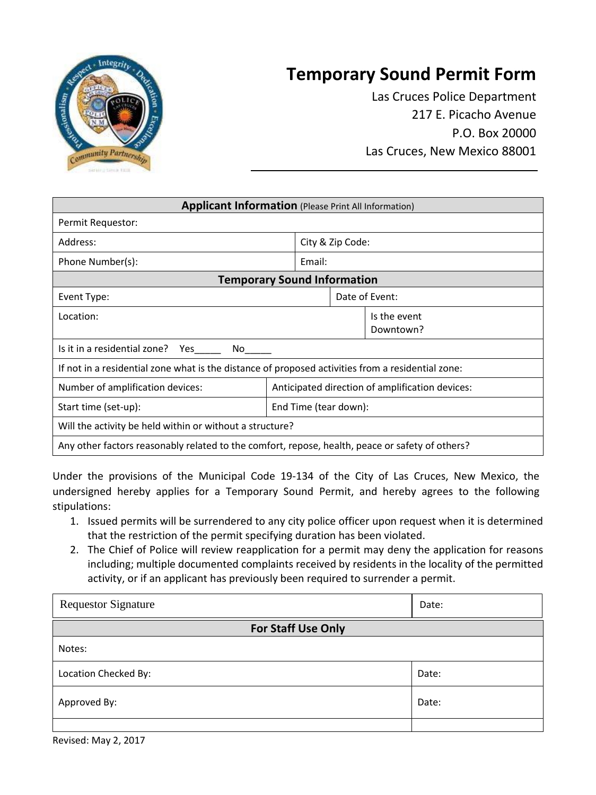

## **Temporary Sound Permit Form**

Las Cruces Police Department 217 E. Picacho Avenue P.O. Box 20000 Las Cruces, New Mexico 88001

| <b>Applicant Information (Please Print All Information)</b>                                       |                       |  |                                                 |  |  |
|---------------------------------------------------------------------------------------------------|-----------------------|--|-------------------------------------------------|--|--|
| Permit Requestor:                                                                                 |                       |  |                                                 |  |  |
| Address:                                                                                          | City & Zip Code:      |  |                                                 |  |  |
| Phone Number(s):                                                                                  | Email:                |  |                                                 |  |  |
| <b>Temporary Sound Information</b>                                                                |                       |  |                                                 |  |  |
| Event Type:                                                                                       |                       |  | Date of Event:                                  |  |  |
| Location:                                                                                         |                       |  | Is the event<br>Downtown?                       |  |  |
| Is it in a residential zone? Yes<br>No l                                                          |                       |  |                                                 |  |  |
| If not in a residential zone what is the distance of proposed activities from a residential zone: |                       |  |                                                 |  |  |
| Number of amplification devices:                                                                  |                       |  | Anticipated direction of amplification devices: |  |  |
| Start time (set-up):                                                                              | End Time (tear down): |  |                                                 |  |  |
| Will the activity be held within or without a structure?                                          |                       |  |                                                 |  |  |
| Any other factors reasonably related to the comfort, repose, health, peace or safety of others?   |                       |  |                                                 |  |  |

Under the provisions of the Municipal Code 19-134 of the City of Las Cruces, New Mexico, the undersigned hereby applies for a Temporary Sound Permit, and hereby agrees to the following stipulations:

- 1. Issued permits will be surrendered to any city police officer upon request when it is determined that the restriction of the permit specifying duration has been violated.
- 2. The Chief of Police will review reapplication for a permit may deny the application for reasons including; multiple documented complaints received by residents in the locality of the permitted activity, or if an applicant has previously been required to surrender a permit.

| <b>Requestor Signature</b> | Date: |  |  |  |
|----------------------------|-------|--|--|--|
| <b>For Staff Use Only</b>  |       |  |  |  |
| Notes:                     |       |  |  |  |
| Location Checked By:       | Date: |  |  |  |
| Approved By:               | Date: |  |  |  |
|                            |       |  |  |  |